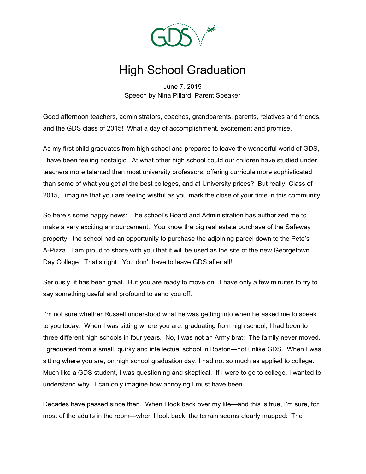

## High School Graduation

June 7, 2015 Speech by Nina Pillard, Parent Speaker

Good afternoon teachers, administrators, coaches, grandparents, parents, relatives and friends, and the GDS class of 2015! What a day of accomplishment, excitement and promise.

As my first child graduates from high school and prepares to leave the wonderful world of GDS, I have been feeling nostalgic. At what other high school could our children have studied under teachers more talented than most university professors, offering curricula more sophisticated than some of what you get at the best colleges, and at University prices? But really, Class of 2015, I imagine that you are feeling wistful as you mark the close of your time in this community.

So here's some happy news: The school's Board and Administration has authorized me to make a very exciting announcement. You know the big real estate purchase of the Safeway property; the school had an opportunity to purchase the adjoining parcel down to the Pete's A-Pizza. I am proud to share with you that it will be used as the site of the new Georgetown Day College. That's right. You don't have to leave GDS after all!

Seriously, it has been great. But you are ready to move on. I have only a few minutes to try to say something useful and profound to send you off.

I'm not sure whether Russell understood what he was getting into when he asked me to speak to you today. When I was sitting where you are, graduating from high school, I had been to three different high schools in four years. No, I was not an Army brat: The family never moved. I graduated from a small, quirky and intellectual school in Boston—not unlike GDS. When I was sitting where you are, on high school graduation day, I had not so much as applied to college. Much like a GDS student, I was questioning and skeptical. If I were to go to college, I wanted to understand why. I can only imagine how annoying I must have been.

Decades have passed since then. When I look back over my life—and this is true, I'm sure, for most of the adults in the room—when I look back, the terrain seems clearly mapped: The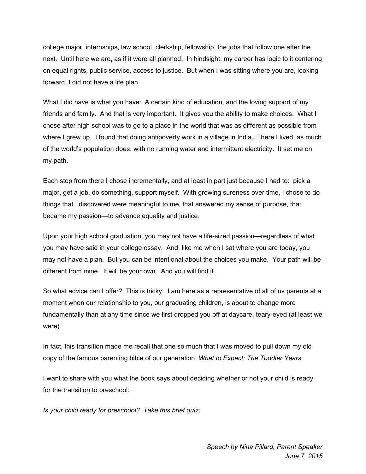college major, internships, law school, clerkship, fellowship, the jobs that follow one after the next. Until here we are, as if it were all planned. In hindsight, my career has logic to it centering on equal rights, public service, access to justice. But when I was sitting where you are, looking forward, I did not have a life plan.

What I did have is what you have: A certain kind of education, and the loving support of my friends and family. And that is very important. It gives you the ability to make choices. What I chose after high school was to go to a place in the world that was as different as possible from where I grew up. I found that doing antipoverty work in a village in India. There I lived, as much of the world's population does, with no running water and intermittent electricity. It set me on my path.

Each step from there I chose incrementally, and at least in part just because I had to: pick a major, get a job, do something, support myself. With growing sureness over time, I chose to do things that I discovered were meaningful to me, that answered my sense of purpose, that became my passion—to advance equality and justice.

Upon your high school graduation, you may not have a life-sized passion—regardless of what you may have said in your college essay. And, like me when I sat where you are today, you may not have a plan. But you can be intentional about the choices you make. Your path will be different from mine. It will be your own. And you will find it.

So what advice can I offer? This is tricky. I am here as a representative of all of us parents at a moment when our relationship to you, our graduating children, is about to change more fundamentally than at any time since we first dropped you off at daycare, teary-eyed (at least we were).

In fact, this transition made me recall that one so much that I was moved to pull down my old copy of the famous parenting bible of our generation: *What to Expect: The Toddler Years.*

I want to share with you what the book says about deciding whether or not your child is ready for the transition to preschool:

*Is your child ready for preschool? Take this brief quiz:*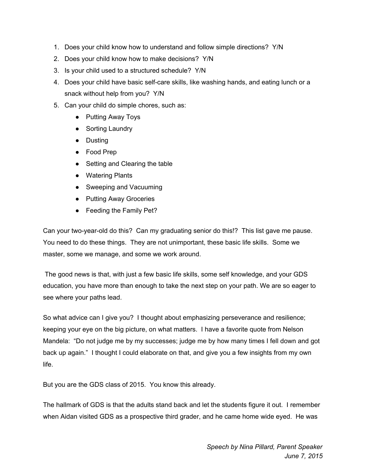- 1. Does your child know how to understand and follow simple directions? Y/N
- 2. Does your child know how to make decisions? Y/N
- 3. Is your child used to a structured schedule? Y/N
- 4. Does your child have basic self-care skills, like washing hands, and eating lunch or a snack without help from you? Y/N
- 5. Can your child do simple chores, such as:
	- Putting Away Toys
	- Sorting Laundry
	- Dusting
	- Food Prep
	- Setting and Clearing the table
	- Watering Plants
	- Sweeping and Vacuuming
	- Putting Away Groceries
	- Feeding the Family Pet?

Can your two-year-old do this? Can my graduating senior do this!? This list gave me pause. You need to do these things. They are not unimportant, these basic life skills. Some we master, some we manage, and some we work around.

The good news is that, with just a few basic life skills, some self knowledge, and your GDS education, you have more than enough to take the next step on your path. We are so eager to see where your paths lead.

So what advice can I give you? I thought about emphasizing perseverance and resilience; keeping your eye on the big picture, on what matters. I have a favorite quote from Nelson Mandela: "Do not judge me by my successes; judge me by how many times I fell down and got back up again." I thought I could elaborate on that, and give you a few insights from my own life.

But you are the GDS class of 2015. You know this already.

The hallmark of GDS is that the adults stand back and let the students figure it out. I remember when Aidan visited GDS as a prospective third grader, and he came home wide eyed. He was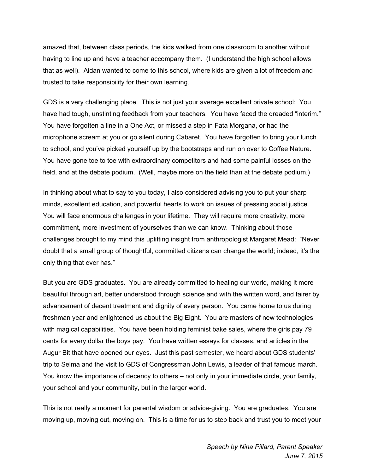amazed that, between class periods, the kids walked from one classroom to another without having to line up and have a teacher accompany them. (I understand the high school allows that as well). Aidan wanted to come to this school, where kids are given a lot of freedom and trusted to take responsibility for their own learning.

GDS is a very challenging place. This is not just your average excellent private school: You have had tough, unstinting feedback from your teachers. You have faced the dreaded "interim." You have forgotten a line in a One Act, or missed a step in Fata Morgana, or had the microphone scream at you or go silent during Cabaret. You have forgotten to bring your lunch to school, and you've picked yourself up by the bootstraps and run on over to Coffee Nature. You have gone toe to toe with extraordinary competitors and had some painful losses on the field, and at the debate podium. (Well, maybe more on the field than at the debate podium.)

In thinking about what to say to you today, I also considered advising you to put your sharp minds, excellent education, and powerful hearts to work on issues of pressing social justice. You will face enormous challenges in your lifetime. They will require more creativity, more commitment, more investment of yourselves than we can know. Thinking about those challenges brought to my mind this uplifting insight from anthropologist Margaret Mead: "Never doubt that a small group of thoughtful, committed citizens can change the world; indeed, it's the only thing that ever has."

But you are GDS graduates. You are already committed to healing our world, making it more beautiful through art, better understood through science and with the written word, and fairer by advancement of decent treatment and dignity of every person. You came home to us during freshman year and enlightened us about the Big Eight. You are masters of new technologies with magical capabilities. You have been holding feminist bake sales, where the girls pay 79 cents for every dollar the boys pay. You have written essays for classes, and articles in the Augur Bit that have opened our eyes. Just this past semester, we heard about GDS students' trip to Selma and the visit to GDS of Congressman John Lewis, a leader of that famous march. You know the importance of decency to others – not only in your immediate circle, your family, your school and your community, but in the larger world.

This is not really a moment for parental wisdom or advice-giving. You are graduates. You are moving up, moving out, moving on. This is a time for us to step back and trust you to meet your